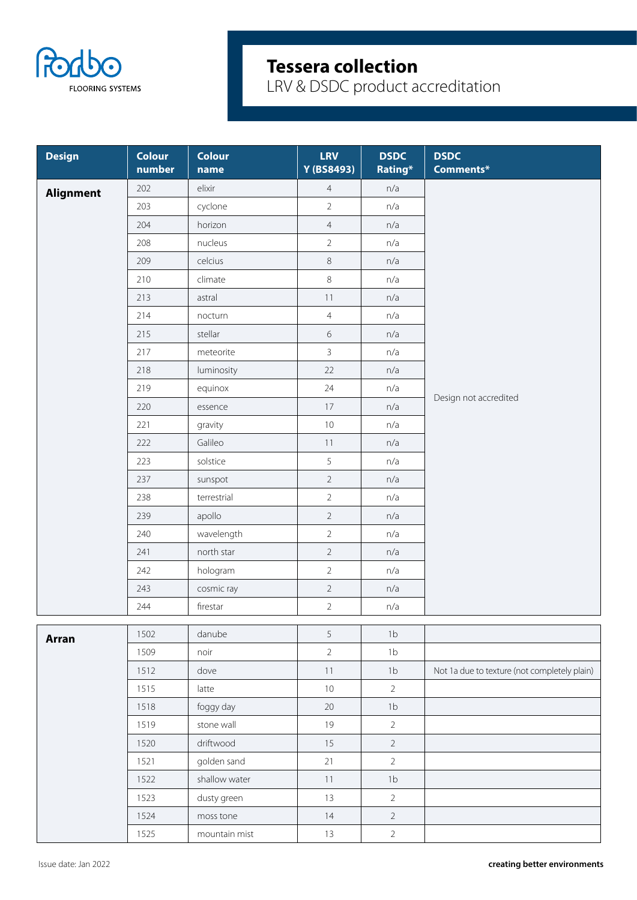

| <b>Design</b>    | <b>Colour</b><br>number | <b>Colour</b><br>name | <b>LRV</b><br>Y (BS8493) | <b>DSDC</b><br>Rating* | <b>DSDC</b><br>Comments*                     |
|------------------|-------------------------|-----------------------|--------------------------|------------------------|----------------------------------------------|
| <b>Alignment</b> | 202                     | elixir                | $\overline{4}$           | n/a                    |                                              |
|                  | 203                     | cyclone               | $\overline{2}$           | n/a                    |                                              |
|                  | 204                     | horizon               | $\overline{4}$           | n/a                    |                                              |
|                  | 208                     | nucleus               | $\overline{2}$           | n/a                    |                                              |
|                  | 209                     | celcius               | 8                        | n/a                    |                                              |
|                  | 210                     | climate               | $\,8\,$                  | n/a                    |                                              |
|                  | 213                     | astral                | 11                       | n/a                    |                                              |
|                  | 214                     | nocturn               | $\overline{4}$           | n/a                    |                                              |
|                  | 215                     | stellar               | 6                        | n/a                    |                                              |
|                  | 217                     | meteorite             | $\overline{3}$           | n/a                    |                                              |
|                  | 218                     | luminosity            | 22                       | n/a                    |                                              |
|                  | 219                     | equinox               | 24                       | n/a                    |                                              |
|                  | 220                     | essence               | 17                       | n/a                    | Design not accredited                        |
|                  | 221                     | gravity               | $10$                     | n/a                    |                                              |
|                  | 222                     | Galileo               | 11                       | n/a                    |                                              |
|                  | 223                     | solstice              | 5                        | n/a                    |                                              |
|                  | 237                     | sunspot               | $\overline{2}$           | n/a                    |                                              |
|                  | 238                     | terrestrial           | $\overline{2}$           | n/a                    |                                              |
|                  | 239                     | apollo                | $\overline{2}$           | n/a                    |                                              |
|                  | 240                     | wavelength            | $\overline{2}$           | n/a                    |                                              |
|                  | 241                     | north star            | $\overline{2}$           | n/a                    |                                              |
|                  | 242                     | hologram              | $\overline{2}$           | n/a                    |                                              |
|                  | 243                     | cosmic ray            | $\overline{2}$           | n/a                    |                                              |
|                  | 244                     | firestar              | $\overline{2}$           | n/a                    |                                              |
| <b>Arran</b>     | 1502                    | danube                | 5                        | 1 <sub>b</sub>         |                                              |
|                  | 1509                    | noir                  | $\overline{2}$           | 1 <sub>b</sub>         |                                              |
|                  | 1512                    | dove                  | $11$                     | 1 <sub>b</sub>         | Not 1a due to texture (not completely plain) |
|                  | 1515                    | latte                 | 10                       | $\overline{2}$         |                                              |
|                  | 1518                    | foggy day             | $20\,$                   | 1 <sub>b</sub>         |                                              |
|                  | 1519                    | stone wall            | 19                       | $\overline{2}$         |                                              |
|                  | 1520                    | driftwood             | 15                       | $\overline{2}$         |                                              |
|                  | 1521                    | golden sand           | 21                       | $\overline{2}$         |                                              |
|                  | 1522                    | shallow water         | $11$                     | 1 <sub>b</sub>         |                                              |
|                  | 1523                    | dusty green           | 13                       | $\overline{2}$         |                                              |
|                  | 1524                    | moss tone             | 14                       | $\overline{2}$         |                                              |
|                  | 1525                    | mountain mist         | 13                       | $\overline{2}$         |                                              |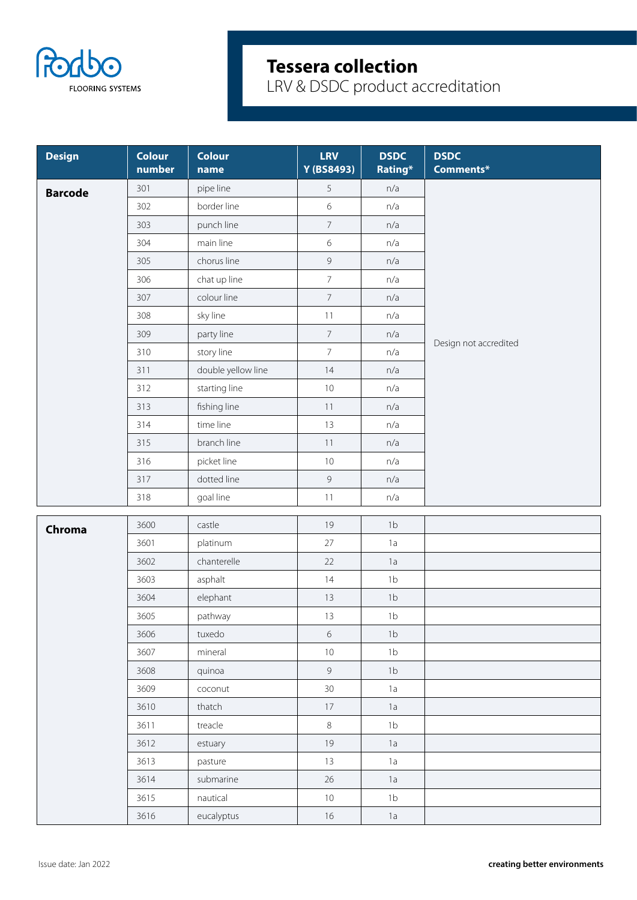

| <b>Design</b>  | <b>Colour</b><br>number | <b>Colour</b><br>name | <b>LRV</b><br>Y (BS8493) | <b>DSDC</b><br>Rating* | <b>DSDC</b><br>Comments* |
|----------------|-------------------------|-----------------------|--------------------------|------------------------|--------------------------|
| <b>Barcode</b> | 301                     | pipe line             | 5                        | n/a                    |                          |
|                | 302                     | border line           | $\epsilon$               | n/a                    |                          |
|                | 303                     | punch line            | $\overline{7}$           | n/a                    |                          |
|                | 304                     | main line             | $\epsilon$               | n/a                    |                          |
|                | 305                     | chorus line           | $\mathsf{G}$             | n/a                    |                          |
|                | 306                     | chat up line          | $\overline{7}$           | n/a                    |                          |
|                | 307                     | colour line           | $\overline{7}$           | n/a                    |                          |
|                | 308                     | sky line              | 11                       | n/a                    |                          |
|                | 309                     | party line            | $7\overline{ }$          | n/a                    | Design not accredited    |
|                | 310                     | story line            | $\overline{7}$           | n/a                    |                          |
|                | 311                     | double yellow line    | 14                       | n/a                    |                          |
|                | 312                     | starting line         | $10\,$                   | n/a                    |                          |
|                | 313                     | fishing line          | 11                       | n/a                    |                          |
|                | 314                     | time line             | 13                       | n/a                    |                          |
|                | 315                     | branch line           | 11                       | n/a                    |                          |
|                | 316                     | picket line           | $10\,$                   | n/a                    |                          |
|                | 317                     | dotted line           | $\overline{9}$           | n/a                    |                          |
|                | 318                     | goal line             | 11                       | n/a                    |                          |
| Chroma         | 3600                    | castle                | 19                       | 1 <sub>b</sub>         |                          |
|                | 3601                    | platinum              | 27                       | 1a                     |                          |
|                | 3602                    | chanterelle           | 22                       | 1a                     |                          |
|                | 3603                    | asphalt               | 14                       | 1 <sub>b</sub>         |                          |
|                | 3604                    | elephant              | 13                       | 1 <sub>b</sub>         |                          |
|                | 3605                    | pathway               | 13                       | 1 <sub>b</sub>         |                          |
|                | 3606                    | tuxedo                | $\,$ 6 $\,$              | 1 <sub>b</sub>         |                          |
|                | 3607                    | mineral               | $10\,$                   | 1 <sub>b</sub>         |                          |
|                | 3608                    | quinoa                | $\overline{9}$           | 1 <sub>b</sub>         |                          |
|                | 3609                    | coconut               | 30 <sup>°</sup>          | 1a                     |                          |
|                | 3610                    | thatch                | 17                       | 1a                     |                          |
|                | 3611                    | treacle               | $8\,$                    | 1 <sub>b</sub>         |                          |
|                | 3612                    | estuary               | 19                       | 1a                     |                          |
|                | 3613                    | pasture               | 13                       | 1a                     |                          |
|                | 3614                    | submarine             | 26                       | 1a                     |                          |
|                | 3615                    | nautical              | $10\,$                   | 1 <sub>b</sub>         |                          |
|                | 3616                    | eucalyptus            | 16                       | 1a                     |                          |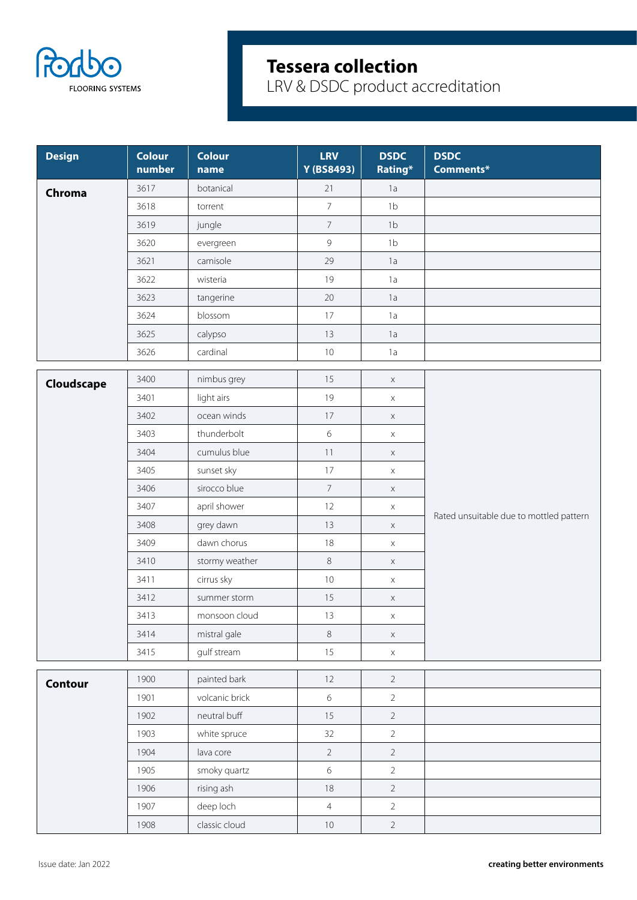

| <b>Design</b>  | <b>Colour</b><br>number | <b>Colour</b><br>name | <b>LRV</b><br>Y (BS8493) | <b>DSDC</b><br>Rating* | <b>DSDC</b><br>Comments*                |
|----------------|-------------------------|-----------------------|--------------------------|------------------------|-----------------------------------------|
| Chroma         | 3617                    | botanical             | 21                       | 1a                     |                                         |
|                | 3618                    | torrent               | $\overline{7}$           | 1 <sub>b</sub>         |                                         |
|                | 3619                    | jungle                | $\overline{7}$           | 1 <sub>b</sub>         |                                         |
|                | 3620                    | evergreen             | $\overline{9}$           | 1 <sub>b</sub>         |                                         |
|                | 3621                    | camisole              | 29                       | 1a                     |                                         |
|                | 3622                    | wisteria              | 19                       | 1a                     |                                         |
|                | 3623                    | tangerine             | 20                       | 1a                     |                                         |
|                | 3624                    | blossom               | 17                       | 1a                     |                                         |
|                | 3625                    | calypso               | 13                       | 1a                     |                                         |
|                | 3626                    | cardinal              | $10$                     | 1a                     |                                         |
| Cloudscape     | 3400                    | nimbus grey           | 15                       | $\mathsf X$            |                                         |
|                | 3401                    | light airs            | 19                       | $\mathsf X$            |                                         |
|                | 3402                    | ocean winds           | 17                       | X                      |                                         |
|                | 3403                    | thunderbolt           | $6\,$                    | $\mathsf X$            |                                         |
|                | 3404                    | cumulus blue          | 11                       | $\mathsf X$            |                                         |
|                | 3405                    | sunset sky            | 17                       | $\mathsf X$            |                                         |
|                | 3406                    | sirocco blue          | $\overline{7}$           | $\mathsf X$            |                                         |
|                | 3407                    | april shower          | 12                       | $\times$               |                                         |
|                | 3408                    | grey dawn             | 13                       | $\mathsf X$            | Rated unsuitable due to mottled pattern |
|                | 3409                    | dawn chorus           | 18                       | $\mathsf X$            |                                         |
|                | 3410                    | stormy weather        | $\,8\,$                  | $\mathsf X$            |                                         |
|                | 3411                    | cirrus sky            | $10$                     | $\mathsf X$            |                                         |
|                | 3412                    | summer storm          | 15                       | $\mathsf X$            |                                         |
|                | 3413                    | monsoon cloud         | 13                       | $\times$               |                                         |
|                | 3414                    | mistral gale          | 8                        | $\mathsf X$            |                                         |
|                | 3415                    | gulf stream           | 15                       | $\mathsf X$            |                                         |
| <b>Contour</b> | 1900                    | painted bark          | 12                       | $\overline{2}$         |                                         |
|                | 1901                    | volcanic brick        | $6\,$                    | $\overline{2}$         |                                         |
|                | 1902                    | neutral buff          | 15                       | $\overline{2}$         |                                         |
|                | 1903                    | white spruce          | 32                       | $\overline{2}$         |                                         |
|                | 1904                    | lava core             | $\overline{2}$           | $\overline{2}$         |                                         |
|                | 1905                    | smoky quartz          | $6\,$                    | $\overline{2}$         |                                         |
|                | 1906                    | rising ash            | $18\,$                   | $\overline{2}$         |                                         |
|                | 1907                    | deep loch             | $\overline{4}$           | $\overline{2}$         |                                         |
|                | 1908                    | classic cloud         | $10\,$                   | $\overline{2}$         |                                         |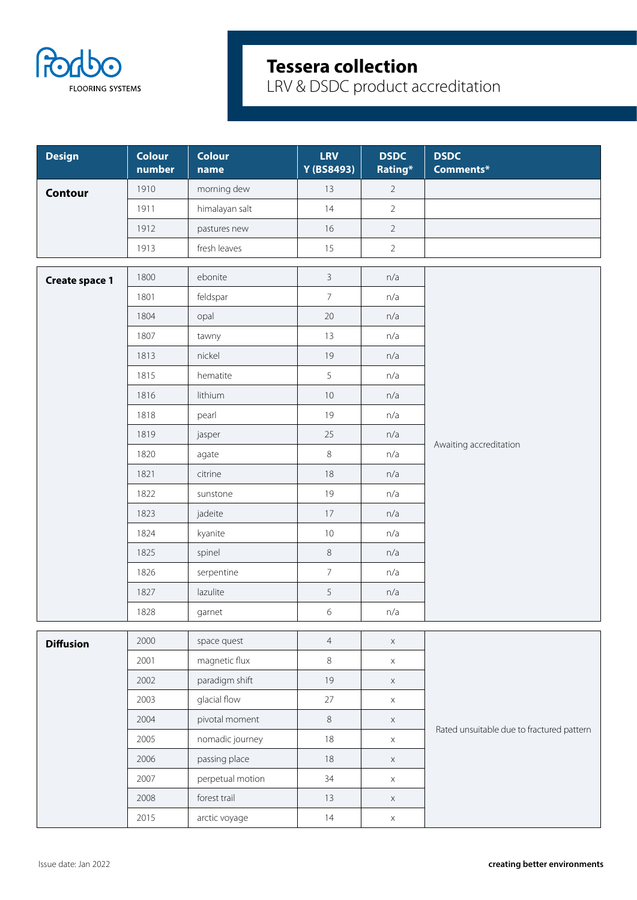

| <b>Design</b>         | <b>Colour</b><br>number | <b>Colour</b><br>name | <b>LRV</b><br>Y (BS8493) | <b>DSDC</b><br>Rating* | <b>DSDC</b><br>Comments*                  |
|-----------------------|-------------------------|-----------------------|--------------------------|------------------------|-------------------------------------------|
| <b>Contour</b>        | 1910                    | morning dew           | 13                       | $\overline{2}$         |                                           |
|                       | 1911                    | himalayan salt        | 14                       | $\overline{2}$         |                                           |
|                       | 1912                    | pastures new          | 16                       | $\overline{2}$         |                                           |
|                       | 1913                    | fresh leaves          | 15                       | $\overline{2}$         |                                           |
| <b>Create space 1</b> | 1800                    | ebonite               | $\mathbf{3}$             | n/a                    |                                           |
|                       | 1801                    | feldspar              | $\overline{7}$           | n/a                    |                                           |
|                       | 1804                    | opal                  | 20                       | n/a                    |                                           |
|                       | 1807                    | tawny                 | 13                       | n/a                    |                                           |
|                       | 1813                    | nickel                | 19                       | n/a                    |                                           |
|                       | 1815                    | hematite              | 5                        | n/a                    |                                           |
|                       | 1816                    | lithium               | 10                       | n/a                    |                                           |
|                       | 1818                    | pearl                 | 19                       | n/a                    |                                           |
|                       | 1819                    | jasper                | 25                       | n/a                    |                                           |
|                       | 1820                    | agate                 | $\,8\,$                  | n/a                    | Awaiting accreditation                    |
|                       | 1821                    | citrine               | 18                       | n/a                    |                                           |
|                       | 1822                    | sunstone              | 19                       | n/a                    |                                           |
|                       | 1823                    | jadeite               | $17\,$                   | n/a                    |                                           |
|                       | 1824                    | kyanite               | $10\,$                   | n/a                    |                                           |
|                       | 1825                    | spinel                | $\,8\,$                  | n/a                    |                                           |
|                       | 1826                    | serpentine            | $\overline{7}$           | n/a                    |                                           |
|                       | 1827                    | lazulite              | 5                        | n/a                    |                                           |
|                       | 1828                    | garnet                | $\,$ 6 $\,$              | n/a                    |                                           |
| <b>Diffusion</b>      | 2000                    | space quest           | $\overline{4}$           | $\mathsf X$            |                                           |
|                       | 2001                    | magnetic flux         | $\,8\,$                  | $\mathsf X$            |                                           |
|                       | 2002                    | paradigm shift        | 19                       | $\mathsf X$            |                                           |
|                       | 2003                    | glacial flow          | $27\,$                   | $\mathsf X$            |                                           |
|                       | 2004                    | pivotal moment        | $\,8\,$                  | $\mathsf X$            |                                           |
|                       | 2005                    | nomadic journey       | $18\,$                   | $\mathsf X$            | Rated unsuitable due to fractured pattern |
|                       | 2006                    | passing place         | $18\,$                   | $\mathsf X$            |                                           |
|                       | 2007                    | perpetual motion      | 34                       | $\mathsf X$            |                                           |
|                       | 2008                    | forest trail          | 13                       | $\mathsf X$            |                                           |
|                       | 2015                    | arctic voyage         | 14                       | $\mathsf X$            |                                           |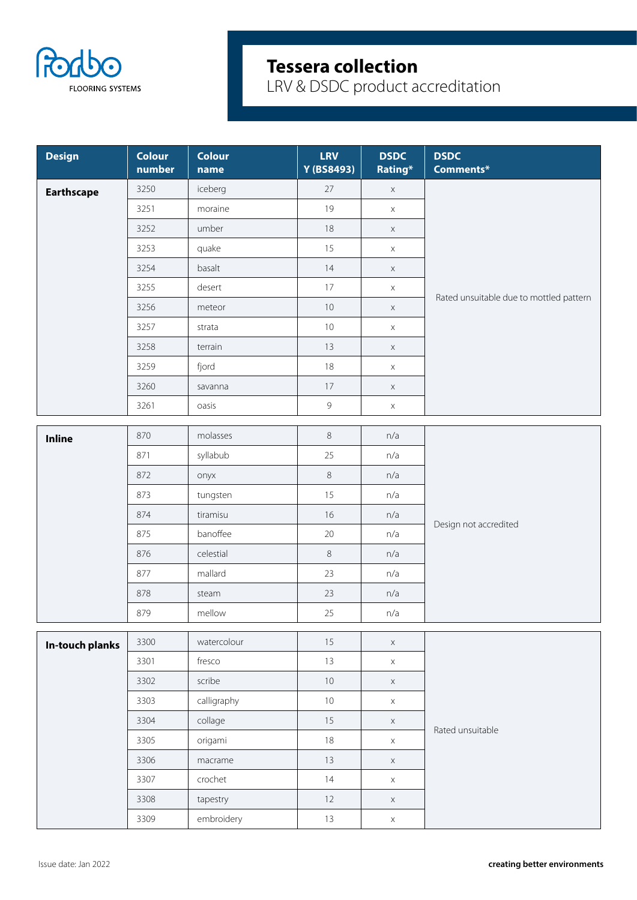

| 3250<br>iceberg<br>27<br>$\mathsf X$<br><b>Earthscape</b><br>3251<br>19<br>moraine<br>$\times$<br>umber<br>3252<br>18<br>$\mathsf X$<br>quake<br>15<br>3253<br>$\mathsf X$<br>basalt<br>14<br>3254<br>$\mathsf X$<br>3255<br>desert<br>17<br>$\mathsf X$<br>Rated unsuitable due to mottled pattern<br>3256<br>10<br>meteor<br>$\mathsf X$<br>3257<br>$10\,$<br>strata<br>$\mathsf X$<br>13<br>3258<br>terrain<br>$\mathsf X$<br>3259<br>fjord<br>18<br>$\mathsf X$<br>3260<br>17<br>savanna<br>$\mathsf X$<br>$\overline{9}$<br>3261<br>oasis<br>$\mathsf X$<br>$\,8\,$<br>870<br>molasses<br>n/a<br><b>Inline</b><br>syllabub<br>25<br>871<br>n/a<br>$\,8\,$<br>872<br>n/a<br>onyx<br>15<br>n/a<br>873<br>tungsten<br>874<br>16<br>n/a<br>tiramisu<br>Design not accredited<br>banoffee<br>20<br>n/a<br>875<br>celestial<br>$\,8\,$<br>876<br>n/a<br>23<br>877<br>mallard<br>n/a<br>878<br>23<br>n/a<br>steam<br>879<br>mellow<br>25<br>n/a<br>watercolour<br>3300<br>15<br>$\mathsf X$<br>In-touch planks<br>3301<br>fresco<br>13<br>$\mathsf X$<br>scribe<br>$10$<br>3302<br>$\mathsf X$<br>calligraphy<br>3303<br>$10$<br>$\mathsf X$<br>3304<br>collage<br>15<br>$\mathsf X$<br>Rated unsuitable<br>3305<br>origami<br>$18\,$<br>$\mathsf X$<br>3306<br>13<br>macrame<br>$\mathsf X$<br>3307<br>crochet<br>14<br>$\mathsf X$<br>3308<br>tapestry<br>12<br>$\mathsf X$ | <b>Design</b> | <b>Colour</b><br>number | <b>Colour</b><br>name | <b>LRV</b><br>Y (BS8493) | <b>DSDC</b><br>Rating* | <b>DSDC</b><br>Comments* |
|-----------------------------------------------------------------------------------------------------------------------------------------------------------------------------------------------------------------------------------------------------------------------------------------------------------------------------------------------------------------------------------------------------------------------------------------------------------------------------------------------------------------------------------------------------------------------------------------------------------------------------------------------------------------------------------------------------------------------------------------------------------------------------------------------------------------------------------------------------------------------------------------------------------------------------------------------------------------------------------------------------------------------------------------------------------------------------------------------------------------------------------------------------------------------------------------------------------------------------------------------------------------------------------------------------------------------------------------------------------------------------|---------------|-------------------------|-----------------------|--------------------------|------------------------|--------------------------|
|                                                                                                                                                                                                                                                                                                                                                                                                                                                                                                                                                                                                                                                                                                                                                                                                                                                                                                                                                                                                                                                                                                                                                                                                                                                                                                                                                                             |               |                         |                       |                          |                        |                          |
|                                                                                                                                                                                                                                                                                                                                                                                                                                                                                                                                                                                                                                                                                                                                                                                                                                                                                                                                                                                                                                                                                                                                                                                                                                                                                                                                                                             |               |                         |                       |                          |                        |                          |
|                                                                                                                                                                                                                                                                                                                                                                                                                                                                                                                                                                                                                                                                                                                                                                                                                                                                                                                                                                                                                                                                                                                                                                                                                                                                                                                                                                             |               |                         |                       |                          |                        |                          |
|                                                                                                                                                                                                                                                                                                                                                                                                                                                                                                                                                                                                                                                                                                                                                                                                                                                                                                                                                                                                                                                                                                                                                                                                                                                                                                                                                                             |               |                         |                       |                          |                        |                          |
|                                                                                                                                                                                                                                                                                                                                                                                                                                                                                                                                                                                                                                                                                                                                                                                                                                                                                                                                                                                                                                                                                                                                                                                                                                                                                                                                                                             |               |                         |                       |                          |                        |                          |
|                                                                                                                                                                                                                                                                                                                                                                                                                                                                                                                                                                                                                                                                                                                                                                                                                                                                                                                                                                                                                                                                                                                                                                                                                                                                                                                                                                             |               |                         |                       |                          |                        |                          |
|                                                                                                                                                                                                                                                                                                                                                                                                                                                                                                                                                                                                                                                                                                                                                                                                                                                                                                                                                                                                                                                                                                                                                                                                                                                                                                                                                                             |               |                         |                       |                          |                        |                          |
|                                                                                                                                                                                                                                                                                                                                                                                                                                                                                                                                                                                                                                                                                                                                                                                                                                                                                                                                                                                                                                                                                                                                                                                                                                                                                                                                                                             |               |                         |                       |                          |                        |                          |
|                                                                                                                                                                                                                                                                                                                                                                                                                                                                                                                                                                                                                                                                                                                                                                                                                                                                                                                                                                                                                                                                                                                                                                                                                                                                                                                                                                             |               |                         |                       |                          |                        |                          |
|                                                                                                                                                                                                                                                                                                                                                                                                                                                                                                                                                                                                                                                                                                                                                                                                                                                                                                                                                                                                                                                                                                                                                                                                                                                                                                                                                                             |               |                         |                       |                          |                        |                          |
|                                                                                                                                                                                                                                                                                                                                                                                                                                                                                                                                                                                                                                                                                                                                                                                                                                                                                                                                                                                                                                                                                                                                                                                                                                                                                                                                                                             |               |                         |                       |                          |                        |                          |
|                                                                                                                                                                                                                                                                                                                                                                                                                                                                                                                                                                                                                                                                                                                                                                                                                                                                                                                                                                                                                                                                                                                                                                                                                                                                                                                                                                             |               |                         |                       |                          |                        |                          |
|                                                                                                                                                                                                                                                                                                                                                                                                                                                                                                                                                                                                                                                                                                                                                                                                                                                                                                                                                                                                                                                                                                                                                                                                                                                                                                                                                                             |               |                         |                       |                          |                        |                          |
|                                                                                                                                                                                                                                                                                                                                                                                                                                                                                                                                                                                                                                                                                                                                                                                                                                                                                                                                                                                                                                                                                                                                                                                                                                                                                                                                                                             |               |                         |                       |                          |                        |                          |
|                                                                                                                                                                                                                                                                                                                                                                                                                                                                                                                                                                                                                                                                                                                                                                                                                                                                                                                                                                                                                                                                                                                                                                                                                                                                                                                                                                             |               |                         |                       |                          |                        |                          |
|                                                                                                                                                                                                                                                                                                                                                                                                                                                                                                                                                                                                                                                                                                                                                                                                                                                                                                                                                                                                                                                                                                                                                                                                                                                                                                                                                                             |               |                         |                       |                          |                        |                          |
|                                                                                                                                                                                                                                                                                                                                                                                                                                                                                                                                                                                                                                                                                                                                                                                                                                                                                                                                                                                                                                                                                                                                                                                                                                                                                                                                                                             |               |                         |                       |                          |                        |                          |
|                                                                                                                                                                                                                                                                                                                                                                                                                                                                                                                                                                                                                                                                                                                                                                                                                                                                                                                                                                                                                                                                                                                                                                                                                                                                                                                                                                             |               |                         |                       |                          |                        |                          |
|                                                                                                                                                                                                                                                                                                                                                                                                                                                                                                                                                                                                                                                                                                                                                                                                                                                                                                                                                                                                                                                                                                                                                                                                                                                                                                                                                                             |               |                         |                       |                          |                        |                          |
|                                                                                                                                                                                                                                                                                                                                                                                                                                                                                                                                                                                                                                                                                                                                                                                                                                                                                                                                                                                                                                                                                                                                                                                                                                                                                                                                                                             |               |                         |                       |                          |                        |                          |
|                                                                                                                                                                                                                                                                                                                                                                                                                                                                                                                                                                                                                                                                                                                                                                                                                                                                                                                                                                                                                                                                                                                                                                                                                                                                                                                                                                             |               |                         |                       |                          |                        |                          |
|                                                                                                                                                                                                                                                                                                                                                                                                                                                                                                                                                                                                                                                                                                                                                                                                                                                                                                                                                                                                                                                                                                                                                                                                                                                                                                                                                                             |               |                         |                       |                          |                        |                          |
|                                                                                                                                                                                                                                                                                                                                                                                                                                                                                                                                                                                                                                                                                                                                                                                                                                                                                                                                                                                                                                                                                                                                                                                                                                                                                                                                                                             |               |                         |                       |                          |                        |                          |
|                                                                                                                                                                                                                                                                                                                                                                                                                                                                                                                                                                                                                                                                                                                                                                                                                                                                                                                                                                                                                                                                                                                                                                                                                                                                                                                                                                             |               |                         |                       |                          |                        |                          |
|                                                                                                                                                                                                                                                                                                                                                                                                                                                                                                                                                                                                                                                                                                                                                                                                                                                                                                                                                                                                                                                                                                                                                                                                                                                                                                                                                                             |               |                         |                       |                          |                        |                          |
|                                                                                                                                                                                                                                                                                                                                                                                                                                                                                                                                                                                                                                                                                                                                                                                                                                                                                                                                                                                                                                                                                                                                                                                                                                                                                                                                                                             |               |                         |                       |                          |                        |                          |
|                                                                                                                                                                                                                                                                                                                                                                                                                                                                                                                                                                                                                                                                                                                                                                                                                                                                                                                                                                                                                                                                                                                                                                                                                                                                                                                                                                             |               |                         |                       |                          |                        |                          |
|                                                                                                                                                                                                                                                                                                                                                                                                                                                                                                                                                                                                                                                                                                                                                                                                                                                                                                                                                                                                                                                                                                                                                                                                                                                                                                                                                                             |               |                         |                       |                          |                        |                          |
|                                                                                                                                                                                                                                                                                                                                                                                                                                                                                                                                                                                                                                                                                                                                                                                                                                                                                                                                                                                                                                                                                                                                                                                                                                                                                                                                                                             |               |                         |                       |                          |                        |                          |
|                                                                                                                                                                                                                                                                                                                                                                                                                                                                                                                                                                                                                                                                                                                                                                                                                                                                                                                                                                                                                                                                                                                                                                                                                                                                                                                                                                             |               |                         |                       |                          |                        |                          |
|                                                                                                                                                                                                                                                                                                                                                                                                                                                                                                                                                                                                                                                                                                                                                                                                                                                                                                                                                                                                                                                                                                                                                                                                                                                                                                                                                                             |               |                         |                       |                          |                        |                          |
| embroidery<br>3309<br>$13$<br>$\mathsf X$                                                                                                                                                                                                                                                                                                                                                                                                                                                                                                                                                                                                                                                                                                                                                                                                                                                                                                                                                                                                                                                                                                                                                                                                                                                                                                                                   |               |                         |                       |                          |                        |                          |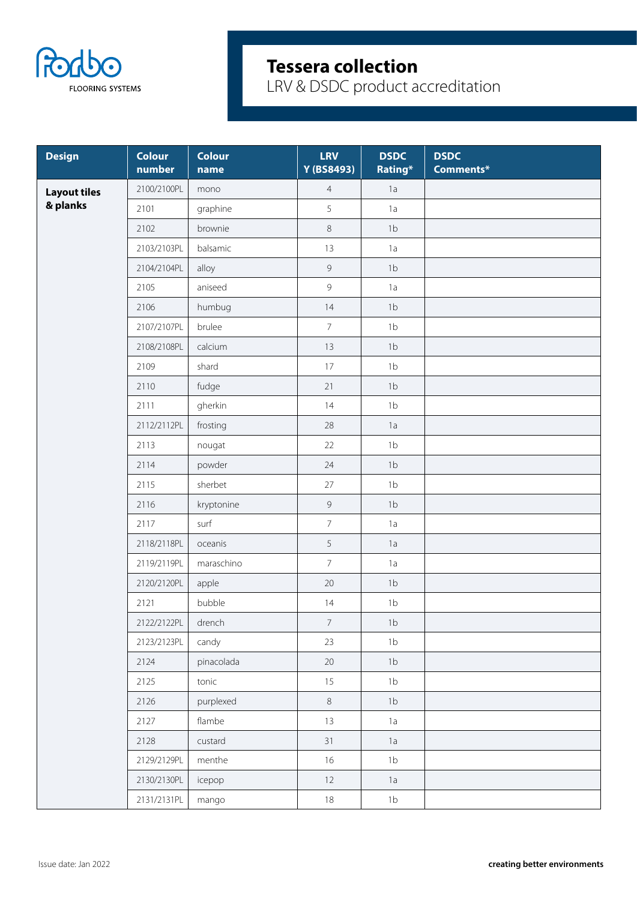

| <b>Design</b>       | <b>Colour</b><br>number | <b>Colour</b><br>name | <b>LRV</b><br>Y (BS8493) | <b>DSDC</b><br>Rating* | <b>DSDC</b><br>Comments* |
|---------------------|-------------------------|-----------------------|--------------------------|------------------------|--------------------------|
| <b>Layout tiles</b> | 2100/2100PL             | mono                  | $\overline{4}$           | 1a                     |                          |
| & planks            | 2101                    | graphine              | 5                        | 1a                     |                          |
|                     | 2102                    | brownie               | $\,8\,$                  | 1 <sub>b</sub>         |                          |
|                     | 2103/2103PL             | balsamic              | 13                       | 1a                     |                          |
|                     | 2104/2104PL             | alloy                 | $\mathsf 9$              | 1 <sub>b</sub>         |                          |
|                     | 2105                    | aniseed               | $\overline{9}$           | 1a                     |                          |
|                     | 2106                    | humbug                | 14                       | 1 <sub>b</sub>         |                          |
|                     | 2107/2107PL             | brulee                | $\overline{7}$           | 1 <sub>b</sub>         |                          |
|                     | 2108/2108PL             | calcium               | 13                       | 1 <sub>b</sub>         |                          |
|                     | 2109                    | shard                 | 17                       | 1 <sub>b</sub>         |                          |
|                     | 2110                    | fudge                 | 21                       | 1b                     |                          |
|                     | 2111                    | gherkin               | 14                       | 1 <sub>b</sub>         |                          |
|                     | 2112/2112PL             | frosting              | 28                       | 1a                     |                          |
|                     | 2113                    | nougat                | 22                       | 1 <sub>b</sub>         |                          |
|                     | 2114                    | powder                | 24                       | 1 <sub>b</sub>         |                          |
|                     | 2115                    | sherbet               | 27                       | 1 <sub>b</sub>         |                          |
|                     | 2116                    | kryptonine            | $\overline{9}$           | 1 <sub>b</sub>         |                          |
|                     | 2117                    | surf                  | $\overline{7}$           | 1a                     |                          |
|                     | 2118/2118PL             | oceanis               | 5                        | 1a                     |                          |
|                     | 2119/2119PL             | maraschino            | $\overline{7}$           | 1a                     |                          |
|                     | 2120/2120PL             | apple                 | $20\,$                   | 1 <sub>b</sub>         |                          |
|                     | 2121                    | bubble                | 14                       | 1 <sub>b</sub>         |                          |
|                     | 2122/2122PL             | drench                | 7 <sup>7</sup>           | 1 <sub>b</sub>         |                          |
|                     | 2123/2123PL             | candy                 | 23                       | 1 <sub>b</sub>         |                          |
|                     | 2124                    | pinacolada            | $20\,$                   | 1 <sub>b</sub>         |                          |
|                     | 2125                    | tonic                 | 15                       | 1 <sub>b</sub>         |                          |
|                     | 2126                    | purplexed             | $\,8\,$                  | 1 <sub>b</sub>         |                          |
|                     | 2127                    | flambe                | 13                       | 1a                     |                          |
|                     | 2128                    | custard               | 31                       | 1a                     |                          |
|                     | 2129/2129PL             | menthe                | 16                       | 1 <sub>b</sub>         |                          |
|                     | 2130/2130PL             | icepop                | 12                       | 1a                     |                          |
|                     | 2131/2131PL             | mango                 | 18                       | 1 <sub>b</sub>         |                          |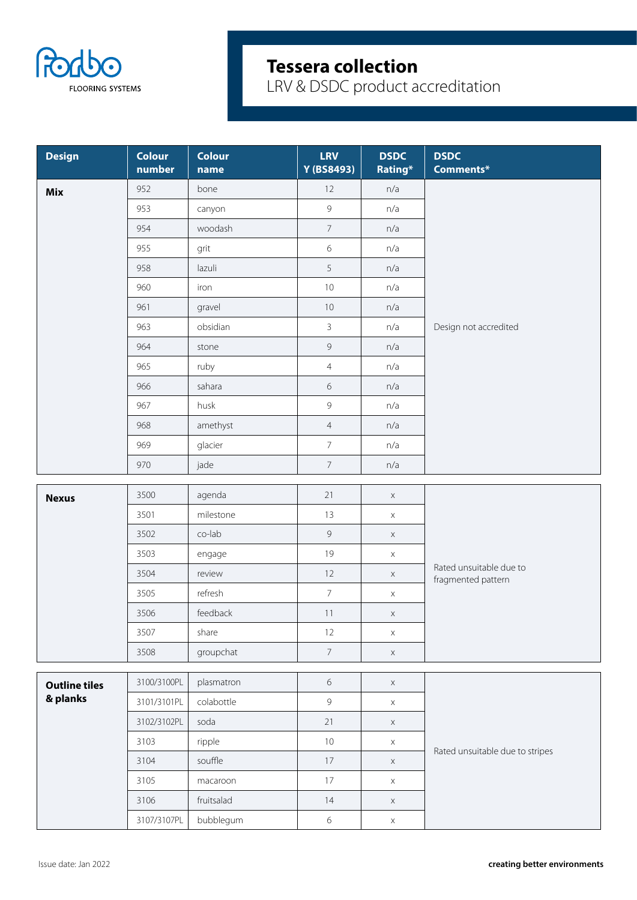

| <b>Design</b>        | <b>Colour</b><br>number | <b>Colour</b><br>name | <b>LRV</b><br>Y (BS8493) | <b>DSDC</b><br>Rating* | <b>DSDC</b><br>Comments*        |
|----------------------|-------------------------|-----------------------|--------------------------|------------------------|---------------------------------|
| <b>Mix</b>           | 952                     | bone                  | 12                       | n/a                    |                                 |
|                      | 953                     | canyon                | $\overline{9}$           | n/a                    |                                 |
|                      | 954                     | woodash               | $\overline{7}$           | n/a                    |                                 |
|                      | 955                     | grit                  | 6                        | n/a                    |                                 |
|                      | 958                     | lazuli                | 5                        | n/a                    |                                 |
|                      | 960                     | iron                  | $10\,$                   | n/a                    |                                 |
|                      | 961                     | gravel                | $10\,$                   | n/a                    |                                 |
|                      | 963                     | obsidian              | $\mathbf{3}$             | n/a                    | Design not accredited           |
|                      | 964                     | stone                 | $\mathcal{G}$            | n/a                    |                                 |
|                      | 965                     | ruby                  | $\overline{4}$           | n/a                    |                                 |
|                      | 966                     | sahara                | 6                        | n/a                    |                                 |
|                      | 967                     | husk                  | 9                        | n/a                    |                                 |
|                      | 968                     | amethyst              | $\overline{4}$           | n/a                    |                                 |
|                      | 969                     | glacier               | $\overline{7}$           | n/a                    |                                 |
|                      | 970                     | jade                  | $\overline{7}$           | n/a                    |                                 |
|                      |                         |                       |                          |                        |                                 |
| <b>Nexus</b>         | 3500                    | agenda                | 21                       | $\mathsf X$            |                                 |
|                      | 3501                    | milestone             | 13                       | $\mathsf X$            |                                 |
|                      | 3502                    | co-lab                | 9                        | $\mathsf X$            |                                 |
|                      | 3503                    | engage                | 19                       | $\mathsf X$            | Rated unsuitable due to         |
|                      | 3504                    | review                | 12                       | $\mathsf X$            | fragmented pattern              |
|                      | 3505                    | refresh               | $\overline{7}$           | $\mathsf X$            |                                 |
|                      | 3506                    | feedback              | $11$                     | $\mathsf X$            |                                 |
|                      | 3507                    | share                 | 12                       | $\mathsf X$            |                                 |
|                      | 3508                    | groupchat             | $\overline{7}$           | $\mathsf X$            |                                 |
| <b>Outline tiles</b> | 3100/3100PL             | plasmatron            | $\boldsymbol{6}$         | $\mathsf X$            |                                 |
| & planks             | 3101/3101PL             | colabottle            | 9                        | $\mathsf X$            |                                 |
|                      | 3102/3102PL             | soda                  | 21                       | $\mathsf X$            |                                 |
|                      | 3103                    | ripple                | $10$                     | $\mathsf X$            |                                 |
|                      | 3104                    | souffle               | 17                       | $\mathsf X$            | Rated unsuitable due to stripes |
|                      | 3105                    | macaroon              | 17                       | $\mathsf X$            |                                 |
|                      | 3106                    | fruitsalad            | 14                       | $\mathsf X$            |                                 |
|                      | 3107/3107PL             | bubblegum             | 6                        | X                      |                                 |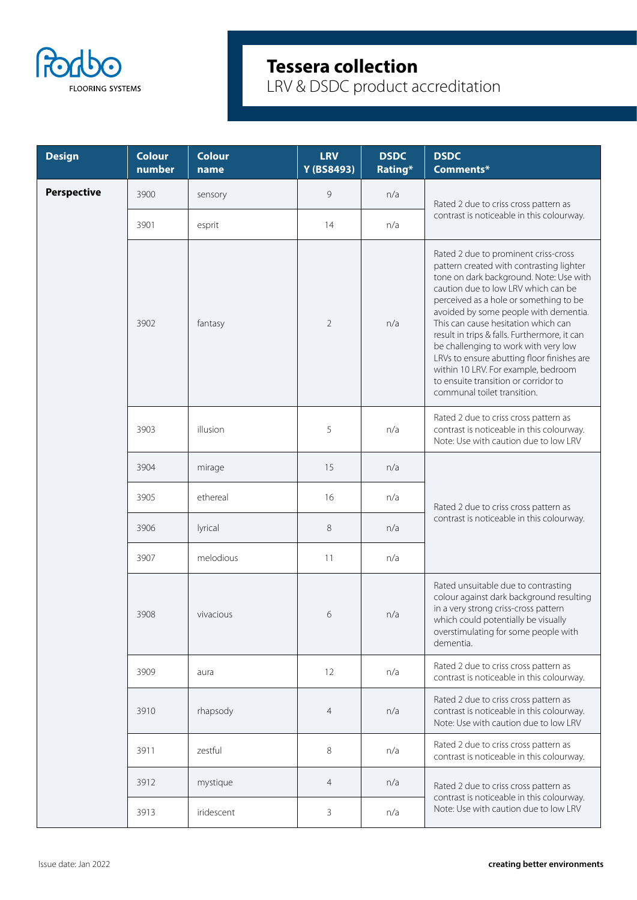

| <b>Design</b>      | <b>Colour</b><br>number | <b>Colour</b><br>name | <b>LRV</b><br>Y (BS8493) | <b>DSDC</b><br>Rating* | <b>DSDC</b><br>Comments*                                                                                                                                                                                                                                                                                                                                                                                                                                                                                                                         |
|--------------------|-------------------------|-----------------------|--------------------------|------------------------|--------------------------------------------------------------------------------------------------------------------------------------------------------------------------------------------------------------------------------------------------------------------------------------------------------------------------------------------------------------------------------------------------------------------------------------------------------------------------------------------------------------------------------------------------|
| <b>Perspective</b> | 3900                    | sensory               | 9                        | n/a                    | Rated 2 due to criss cross pattern as                                                                                                                                                                                                                                                                                                                                                                                                                                                                                                            |
|                    | 3901                    | esprit                | 14                       | n/a                    | contrast is noticeable in this colourway.                                                                                                                                                                                                                                                                                                                                                                                                                                                                                                        |
|                    | 3902                    | fantasy               | $\overline{2}$           | n/a                    | Rated 2 due to prominent criss-cross<br>pattern created with contrasting lighter<br>tone on dark background. Note: Use with<br>caution due to low LRV which can be<br>perceived as a hole or something to be<br>avoided by some people with dementia.<br>This can cause hesitation which can<br>result in trips & falls. Furthermore, it can<br>be challenging to work with very low<br>LRVs to ensure abutting floor finishes are<br>within 10 LRV. For example, bedroom<br>to ensuite transition or corridor to<br>communal toilet transition. |
|                    | 3903                    | illusion              | 5                        | n/a                    | Rated 2 due to criss cross pattern as<br>contrast is noticeable in this colourway.<br>Note: Use with caution due to low LRV                                                                                                                                                                                                                                                                                                                                                                                                                      |
|                    | 3904                    | mirage                | 15                       | n/a                    | Rated 2 due to criss cross pattern as<br>contrast is noticeable in this colourway.                                                                                                                                                                                                                                                                                                                                                                                                                                                               |
|                    | 3905                    | ethereal              | 16                       | n/a                    |                                                                                                                                                                                                                                                                                                                                                                                                                                                                                                                                                  |
|                    | 3906                    | lyrical               | 8                        | n/a                    |                                                                                                                                                                                                                                                                                                                                                                                                                                                                                                                                                  |
|                    | 3907                    | melodious             | 11                       | n/a                    |                                                                                                                                                                                                                                                                                                                                                                                                                                                                                                                                                  |
|                    | 3908                    | vivacious             | 6                        | n/a                    | Rated unsuitable due to contrasting<br>colour against dark background resulting<br>in a very strong criss-cross pattern<br>which could potentially be visually<br>overstimulating for some people with<br>dementia.                                                                                                                                                                                                                                                                                                                              |
|                    | 3909                    | aura                  | 12                       | n/a                    | Rated 2 due to criss cross pattern as<br>contrast is noticeable in this colourway.                                                                                                                                                                                                                                                                                                                                                                                                                                                               |
|                    | 3910                    | rhapsody              | $\overline{4}$           | n/a                    | Rated 2 due to criss cross pattern as<br>contrast is noticeable in this colourway.<br>Note: Use with caution due to low LRV                                                                                                                                                                                                                                                                                                                                                                                                                      |
|                    | 3911                    | zestful               | 8                        | n/a                    | Rated 2 due to criss cross pattern as<br>contrast is noticeable in this colourway.                                                                                                                                                                                                                                                                                                                                                                                                                                                               |
|                    | 3912                    | mystique              | $\overline{4}$           | n/a                    | Rated 2 due to criss cross pattern as                                                                                                                                                                                                                                                                                                                                                                                                                                                                                                            |
|                    | 3913                    | iridescent            | 3                        | n/a                    | contrast is noticeable in this colourway.<br>Note: Use with caution due to low LRV                                                                                                                                                                                                                                                                                                                                                                                                                                                               |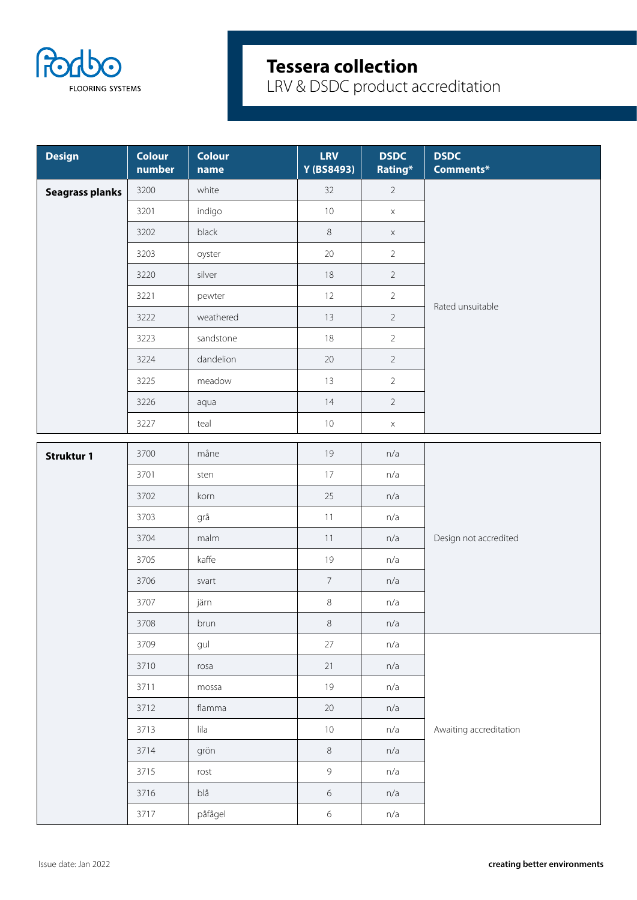

| <b>Design</b>          | <b>Colour</b><br>number | <b>Colour</b><br>name | <b>LRV</b><br>Y (BS8493) | <b>DSDC</b><br>Rating* | <b>DSDC</b><br>Comments* |
|------------------------|-------------------------|-----------------------|--------------------------|------------------------|--------------------------|
| <b>Seagrass planks</b> | 3200                    | white                 | 32                       | $2^{\circ}$            |                          |
|                        | 3201                    | indigo                | $10$                     | $\mathsf X$            |                          |
|                        | 3202                    | black                 | $\,8\,$                  | $\mathsf X$            |                          |
|                        | 3203                    | oyster                | $20\,$                   | $\overline{2}$         |                          |
|                        | 3220                    | silver                | 18                       | $\overline{2}$         |                          |
|                        | 3221                    | pewter                | 12                       | $\overline{2}$         | Rated unsuitable         |
|                        | 3222                    | weathered             | 13                       | $\overline{2}$         |                          |
|                        | 3223                    | sandstone             | 18                       | $\overline{2}$         |                          |
|                        | 3224                    | dandelion             | 20                       | $2\overline{ }$        |                          |
|                        | 3225                    | meadow                | 13                       | $\overline{2}$         |                          |
|                        | 3226                    | aqua                  | 14                       | $\overline{2}$         |                          |
|                        | 3227                    | teal                  | 10                       | $\mathsf X$            |                          |
| <b>Struktur 1</b>      | 3700                    | måne                  | 19                       | n/a                    |                          |
|                        | 3701                    | sten                  | 17                       | n/a                    |                          |
|                        | 3702                    | korn                  | 25                       | n/a                    |                          |
|                        | 3703                    | grå                   | 11                       | n/a                    |                          |
|                        | 3704                    | malm                  | 11                       | n/a                    | Design not accredited    |
|                        | 3705                    | kaffe                 | 19                       | n/a                    |                          |
|                        | 3706                    | svart                 | $\overline{7}$           | n/a                    |                          |
|                        | 3707                    | järn                  | $\,8\,$                  | n/a                    |                          |
|                        | 3708                    | brun                  | $\,8\,$                  | n/a                    |                          |
|                        | 3709                    | gul                   | 27                       | n/a                    |                          |
|                        | 3710                    | rosa                  | 21                       | n/a                    |                          |
|                        | 3711                    | mossa                 | 19                       | n/a                    |                          |
|                        | 3712                    | flamma                | $20\,$                   | n/a                    |                          |
|                        | 3713                    | lila                  | 10                       | n/a                    | Awaiting accreditation   |
|                        | 3714                    | grön                  | $\,8\,$                  | n/a                    |                          |
|                        | 3715                    | rost                  | $\overline{9}$           | n/a                    |                          |
|                        | 3716                    | blå                   | $\sqrt{6}$               | n/a                    |                          |
|                        | 3717                    | påfågel               | $\,$ 6 $\,$              | n/a                    |                          |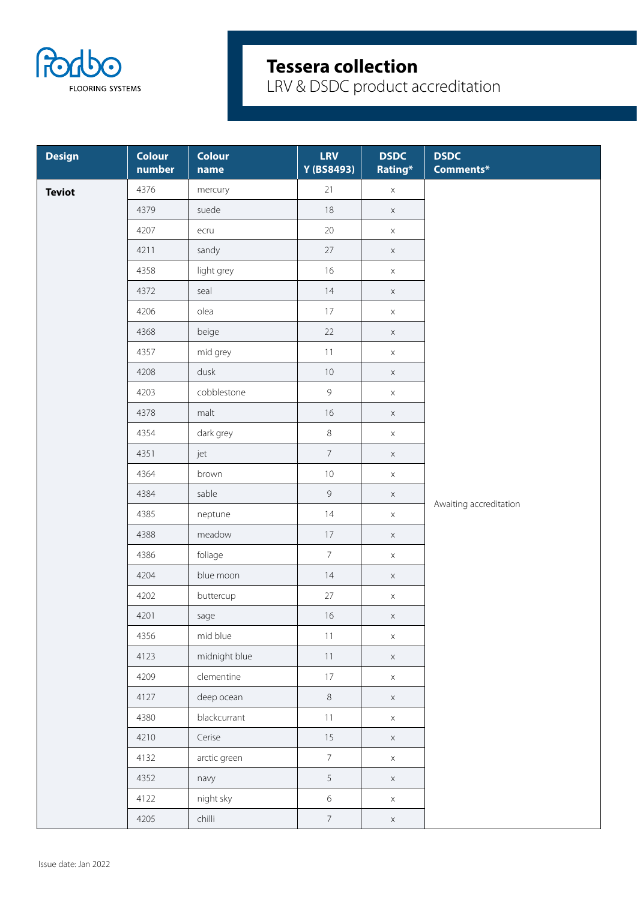

| <b>Design</b> | <b>Colour</b><br>number | <b>Colour</b><br>name | <b>LRV</b><br>Y (BS8493) | <b>DSDC</b><br>Rating* | <b>DSDC</b><br>Comments* |
|---------------|-------------------------|-----------------------|--------------------------|------------------------|--------------------------|
| <b>Teviot</b> | 4376                    | mercury               | 21                       | $\mathsf X$            |                          |
|               | 4379                    | suede                 | 18                       | $\mathsf X$            |                          |
|               | 4207                    | ecru                  | $20\,$                   | $\mathsf X$            |                          |
|               | 4211                    | sandy                 | 27                       | $\mathsf X$            |                          |
|               | 4358                    | light grey            | 16                       | $\mathsf X$            |                          |
|               | 4372                    | seal                  | 14                       | $\mathsf X$            |                          |
|               | 4206                    | olea                  | 17                       | $\mathsf X$            |                          |
|               | 4368                    | beige                 | 22                       | $\mathsf X$            |                          |
|               | 4357                    | mid grey              | 11                       | $\mathsf X$            |                          |
|               | 4208                    | dusk                  | $10\,$                   | $\mathsf X$            |                          |
|               | 4203                    | cobblestone           | $\overline{9}$           | $\mathsf X$            |                          |
|               | 4378                    | malt                  | 16                       | $\mathsf X$            |                          |
|               | 4354                    | dark grey             | $\,8\,$                  | $\mathsf X$            |                          |
|               | 4351                    | jet                   | $\overline{7}$           | $\mathsf X$            |                          |
|               | 4364                    | brown                 | $10\,$                   | $\mathsf X$            |                          |
|               | 4384                    | sable                 | $\overline{9}$           | $\mathsf X$            |                          |
|               | 4385                    | neptune               | 14                       | $\mathsf X$            | Awaiting accreditation   |
|               | 4388                    | meadow                | 17                       | $\mathsf X$            |                          |
|               | 4386                    | foliage               | $\overline{7}$           | $\mathsf X$            |                          |
|               | 4204                    | blue moon             | 14                       | $\mathsf X$            |                          |
|               | 4202                    | buttercup             | 27                       | $\mathsf X$            |                          |
|               | 4201                    | sage                  | 16                       | $\mathsf X$            |                          |
|               | 4356                    | mid blue              | 11                       | $\mathsf X$            |                          |
|               | 4123                    | midnight blue         | 11                       | $\mathsf X$            |                          |
|               | 4209                    | clementine            | 17                       | $\mathsf X$            |                          |
|               | 4127                    | deep ocean            | $\,8\,$                  | $\mathsf X$            |                          |
|               | 4380                    | blackcurrant          | 11                       | $\mathsf X$            |                          |
|               | 4210                    | Cerise                | 15                       | $\mathsf X$            |                          |
|               | 4132                    | arctic green          | $\overline{7}$           | $\mathsf X$            |                          |
|               | 4352                    | navy                  | 5                        | $\mathsf X$            |                          |
|               | 4122                    | night sky             | $6\,$                    | $\mathsf X$            |                          |
|               | 4205                    | chilli                | 7 <sup>7</sup>           | $\mathsf X$            |                          |